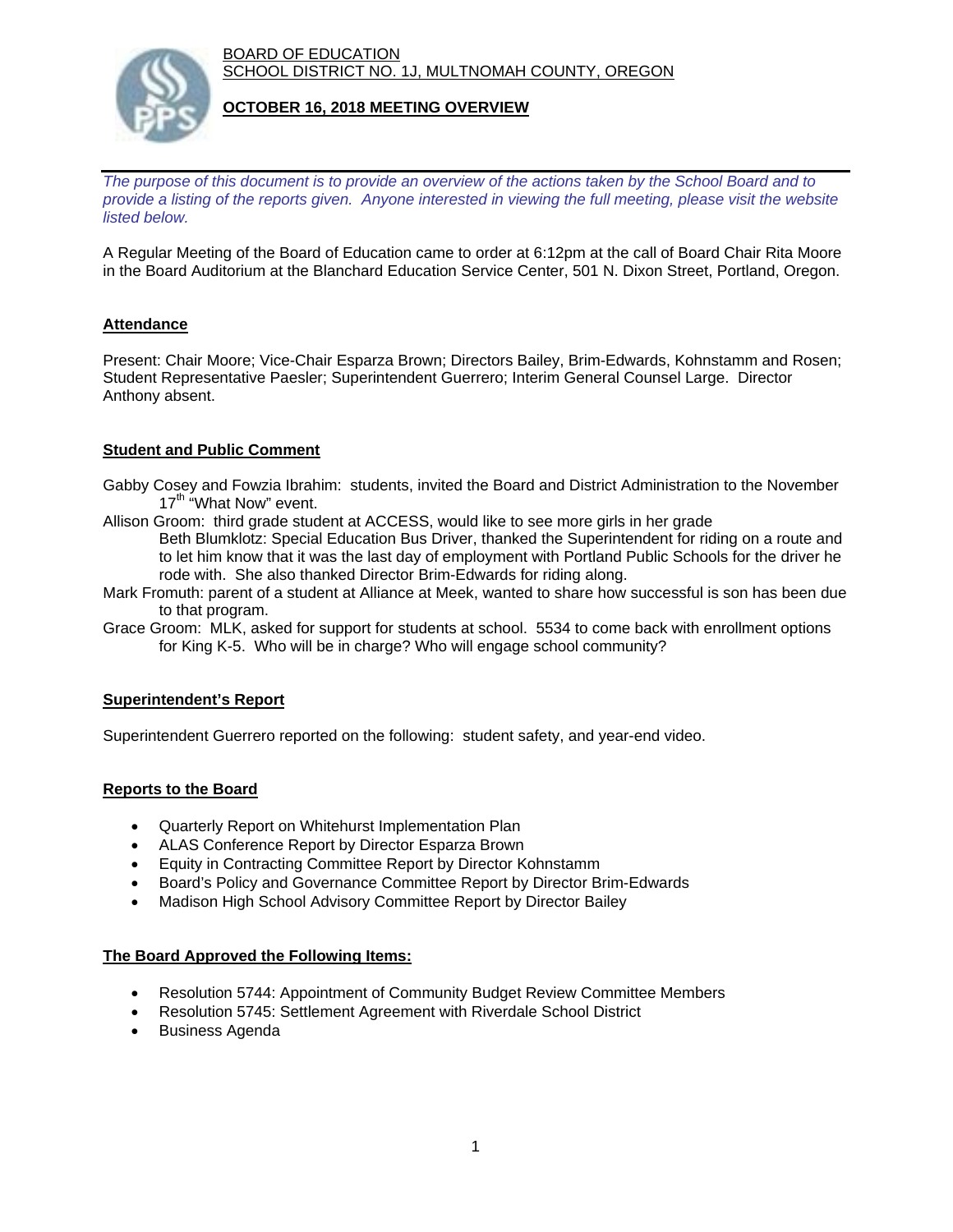BOARD OF EDUCATION SCHOOL DISTRICT NO. 1J, MULTNOMAH COUNTY, OREGON



### **OCTOBER 16, 2018 MEETING OVERVIEW**

*The purpose of this document is to provide an overview of the actions taken by the School Board and to provide a listing of the reports given. Anyone interested in viewing the full meeting, please visit the website listed below.*

A Regular Meeting of the Board of Education came to order at 6:12pm at the call of Board Chair Rita Moore in the Board Auditorium at the Blanchard Education Service Center, 501 N. Dixon Street, Portland, Oregon.

# **Attendance**

Present: Chair Moore; Vice-Chair Esparza Brown; Directors Bailey, Brim-Edwards, Kohnstamm and Rosen; Student Representative Paesler; Superintendent Guerrero; Interim General Counsel Large. Director Anthony absent.

### **Student and Public Comment**

- Gabby Cosey and Fowzia Ibrahim: students, invited the Board and District Administration to the November 17<sup>th</sup> "What Now" event.
- Allison Groom: third grade student at ACCESS, would like to see more girls in her grade Beth Blumklotz: Special Education Bus Driver, thanked the Superintendent for riding on a route and to let him know that it was the last day of employment with Portland Public Schools for the driver he rode with. She also thanked Director Brim-Edwards for riding along.
- Mark Fromuth: parent of a student at Alliance at Meek, wanted to share how successful is son has been due to that program.
- Grace Groom: MLK, asked for support for students at school. 5534 to come back with enrollment options for King K-5. Who will be in charge? Who will engage school community?

### **Superintendent's Report**

Superintendent Guerrero reported on the following: student safety, and year-end video.

### **Reports to the Board**

- Quarterly Report on Whitehurst Implementation Plan
- ALAS Conference Report by Director Esparza Brown
- Equity in Contracting Committee Report by Director Kohnstamm
- Board's Policy and Governance Committee Report by Director Brim-Edwards
- Madison High School Advisory Committee Report by Director Bailey

#### **The Board Approved the Following Items:**

- Resolution 5744: Appointment of Community Budget Review Committee Members
- Resolution 5745: Settlement Agreement with Riverdale School District
- Business Agenda